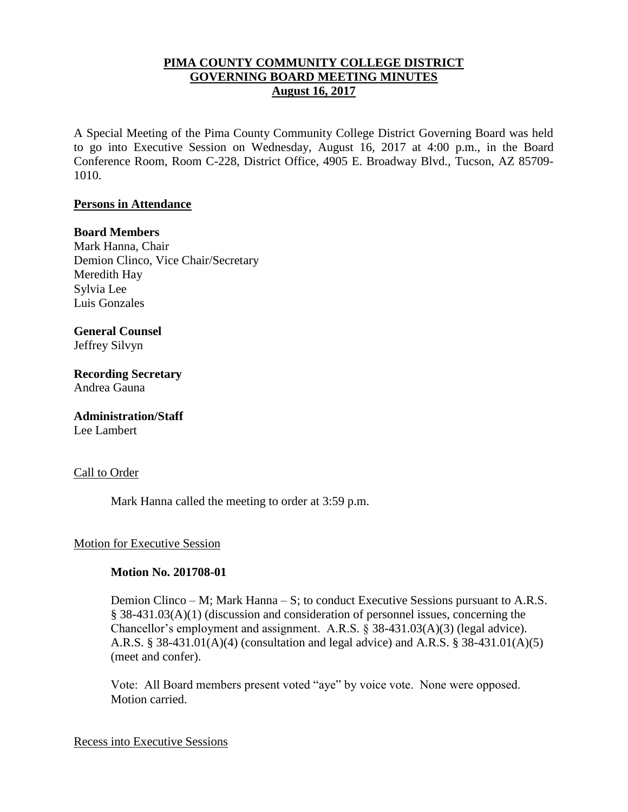## **PIMA COUNTY COMMUNITY COLLEGE DISTRICT GOVERNING BOARD MEETING MINUTES August 16, 2017**

A Special Meeting of the Pima County Community College District Governing Board was held to go into Executive Session on Wednesday, August 16, 2017 at 4:00 p.m., in the Board Conference Room, Room C-228, District Office, 4905 E. Broadway Blvd., Tucson, AZ 85709- 1010.

## **Persons in Attendance**

### **Board Members**

Mark Hanna, Chair Demion Clinco, Vice Chair/Secretary Meredith Hay Sylvia Lee Luis Gonzales

### **General Counsel**  Jeffrey Silvyn

**Recording Secretary** Andrea Gauna

# **Administration/Staff**

Lee Lambert

## Call to Order

Mark Hanna called the meeting to order at 3:59 p.m.

## Motion for Executive Session

## **Motion No. 201708-01**

Demion Clinco – M; Mark Hanna – S; to conduct Executive Sessions pursuant to A.R.S. § 38-431.03(A)(1) (discussion and consideration of personnel issues, concerning the Chancellor's employment and assignment. A.R.S. § 38-431.03(A)(3) (legal advice). A.R.S. § 38-431.01(A)(4) (consultation and legal advice) and A.R.S. § 38-431.01(A)(5) (meet and confer).

Vote: All Board members present voted "aye" by voice vote. None were opposed. Motion carried.

### Recess into Executive Sessions